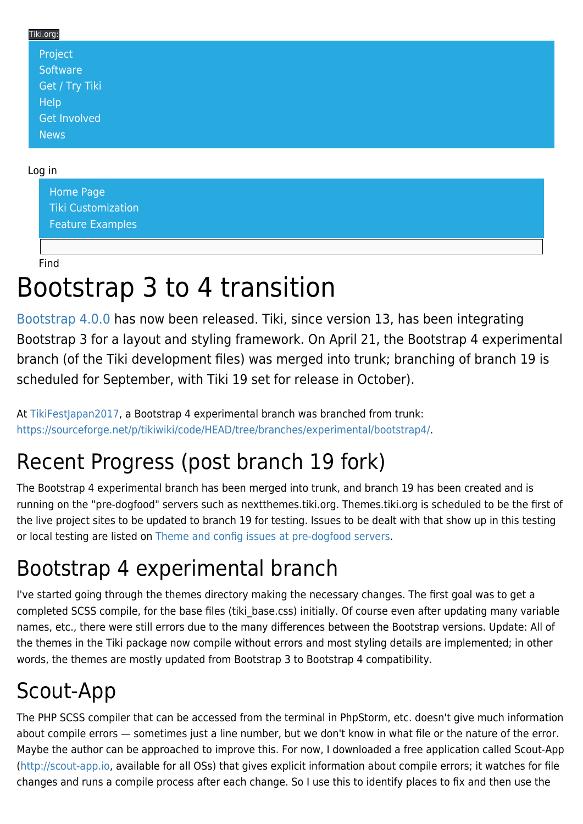| Tiki.org: |                |  |
|-----------|----------------|--|
|           | Project        |  |
|           | Software       |  |
|           | Get / Try Tiki |  |
|           | Help           |  |
|           | Get Involved   |  |
|           | News           |  |
|           |                |  |

### Log in

[Home Page](https://themes.tiki.org/Themes) [Tiki Customization](https://themes.tiki.org/Tiki-Customization) [Feature Examples](#page--1-0)

Find

# Bootstrap 3 to 4 transition

[Bootstrap 4.0.0](http://blog.getbootstrap.com/2018/01/18/bootstrap-4/) has now been released. Tiki, since version 13, has been integrating Bootstrap 3 for a layout and styling framework. On April 21, the Bootstrap 4 experimental branch (of the Tiki development files) was merged into trunk; branching of branch 19 is scheduled for September, with Tiki 19 set for release in October).

At [TikiFestJapan2017,](https://tiki.org/TikiFestJapan2017) a Bootstrap 4 experimental branch was branched from trunk: <https://sourceforge.net/p/tikiwiki/code/HEAD/tree/branches/experimental/bootstrap4/>.

# Recent Progress (post branch 19 fork)

The Bootstrap 4 experimental branch has been merged into trunk, and branch 19 has been created and is running on the "pre-dogfood" servers such as nextthemes.tiki.org. Themes.tiki.org is scheduled to be the first of the live project sites to be updated to branch 19 for testing. Issues to be dealt with that show up in this testing or local testing are listed on [Theme and config issues at pre-dogfood servers](https://themes.tiki.org/Theme-and-config-issues-at-pre-dogfood-servers).

# Bootstrap 4 experimental branch

I've started going through the themes directory making the necessary changes. The first goal was to get a completed SCSS compile, for the base files (tiki base.css) initially. Of course even after updating many variable names, etc., there were still errors due to the many differences between the Bootstrap versions. Update: All of the themes in the Tiki package now compile without errors and most styling details are implemented; in other words, the themes are mostly updated from Bootstrap 3 to Bootstrap 4 compatibility.

# Scout-App

The PHP SCSS compiler that can be accessed from the terminal in PhpStorm, etc. doesn't give much information about compile errors — sometimes just a line number, but we don't know in what file or the nature of the error. Maybe the author can be approached to improve this. For now, I downloaded a free application called Scout-App (<http://scout-app.io>, available for all OSs) that gives explicit information about compile errors; it watches for file changes and runs a compile process after each change. So I use this to identify places to fix and then use the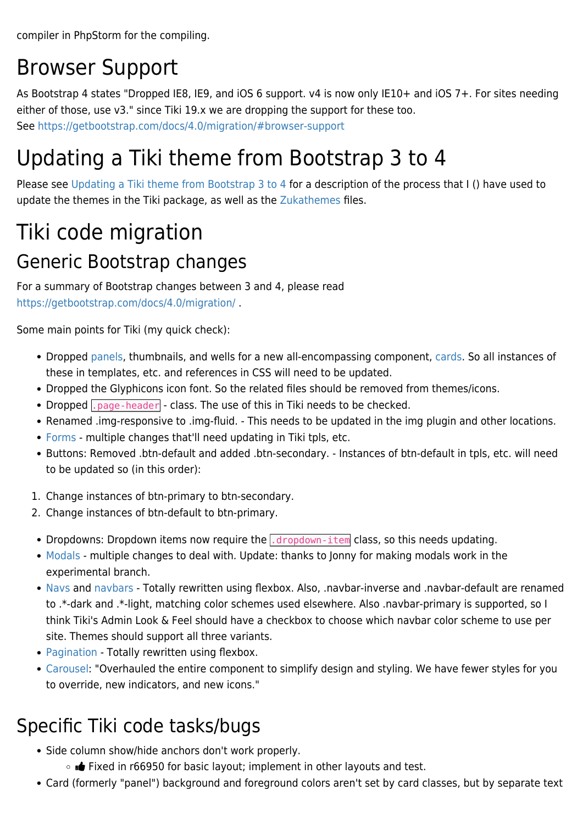compiler in PhpStorm for the compiling.

## Browser Support

As Bootstrap 4 states "Dropped IE8, IE9, and iOS 6 support. v4 is now only IE10+ and iOS 7+. For sites needing either of those, use v3." since Tiki 19.x we are dropping the support for these too. See <https://getbootstrap.com/docs/4.0/migration/#browser-support>

## Updating a Tiki theme from Bootstrap 3 to 4

Please see [Updating a Tiki theme from Bootstrap 3 to 4](https://themes.tiki.org/Updating-a-Tiki-theme-from-Bootstrap-3-to-4) for a description of the process that I () have used to update the themes in the Tiki package, as well as the [Zukathemes](https://zukathemes.com) files.

# Tiki code migration

## Generic Bootstrap changes

For a summary of Bootstrap changes between 3 and 4, please read <https://getbootstrap.com/docs/4.0/migration/>.

Some main points for Tiki (my quick check):

- Dropped [panels,](https://getbootstrap.com/docs/4.0/migration/#panels) thumbnails, and wells for a new all-encompassing component, [cards.](https://getbootstrap.com/docs/4.0/components/card/) So all instances of these in templates, etc. and references in CSS will need to be updated.
- Dropped the Glyphicons icon font. So the related files should be removed from themes/icons.
- Dropped  $\overline{apage\ -hender}$  class. The use of this in Tiki needs to be checked.
- Renamed .img-responsive to .img-fluid. This needs to be updated in the img plugin and other locations.
- [Forms](https://getbootstrap.com/docs/4.0/migration/#forms-1)  multiple changes that'll need updating in Tiki tpls, etc.
- Buttons: Removed .btn-default and added .btn-secondary. Instances of btn-default in tpls, etc. will need to be updated so (in this order):
- 1. Change instances of btn-primary to btn-secondary.
- 2. Change instances of btn-default to btn-primary.
- Dropdowns: Dropdown items now require the *dropdown-item* class, so this needs updating.
- [Modals](https://getbootstrap.com/docs/4.0/migration/#modal)  multiple changes to deal with. Update: thanks to Jonny for making modals work in the experimental branch.
- [Navs](https://getbootstrap.com/docs/4.0/migration/#navs) and [navbars](https://getbootstrap.com/docs/4.0/migration/#navbar) Totally rewritten using flexbox. Also, .navbar-inverse and .navbar-default are renamed to .\*-dark and .\*-light, matching color schemes used elsewhere. Also .navbar-primary is supported, so I think Tiki's Admin Look & Feel should have a checkbox to choose which navbar color scheme to use per site. Themes should support all three variants.
- [Pagination](https://getbootstrap.com/docs/4.0/migration/#pagination) Totally rewritten using flexbox.
- [Carousel](https://getbootstrap.com/docs/4.0/migration/#carousel): "Overhauled the entire component to simplify design and styling. We have fewer styles for you to override, new indicators, and new icons."

### Specific Tiki code tasks/bugs

- Side column show/hide anchors don't work properly.
	- o **id** Fixed in r66950 for basic layout; implement in other layouts and test.
- Card (formerly "panel") background and foreground colors aren't set by card classes, but by separate text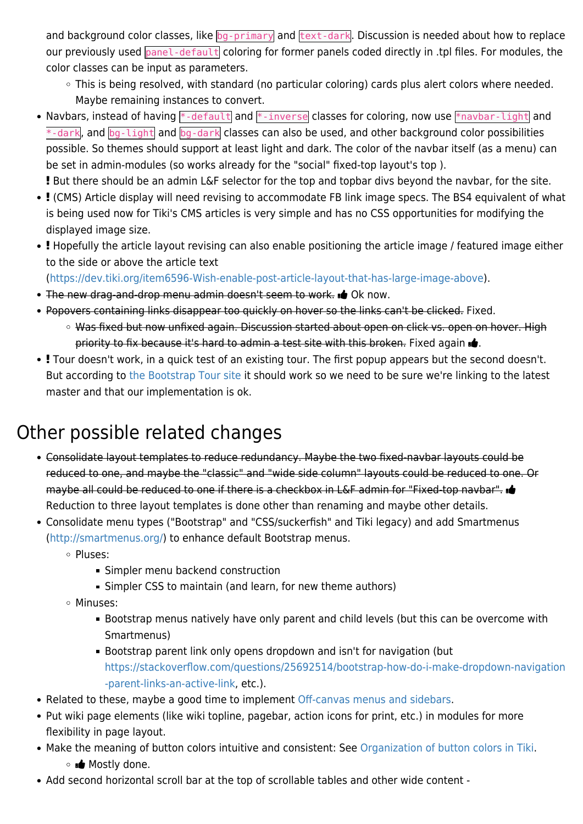and background color classes, like bg-primary and text-dark. Discussion is needed about how to replace our previously used panel-default coloring for former panels coded directly in .tpl files. For modules, the color classes can be input as parameters.

- This is being resolved, with standard (no particular coloring) cards plus alert colors where needed. Maybe remaining instances to convert.
- Navbars, instead of having  $*$ -default and  $*$ -inverse classes for coloring, now use  $*$ navbar-light and  $*$ -dark, and  $log$ -light and  $log$ -dark classes can also be used, and other background color possibilities possible. So themes should support at least light and dark. The color of the navbar itself (as a menu) can be set in admin-modules (so works already for the "social" fixed-top layout's top ).

But there should be an admin L&F selector for the top and topbar divs beyond the navbar, for the site.

- (CMS) Article display will need revising to accommodate FB link image specs. The BS4 equivalent of what is being used now for Tiki's CMS articles is very simple and has no CSS opportunities for modifying the displayed image size.
- Hopefully the article layout revising can also enable positioning the article image / featured image either to the side or above the article text

([https://dev.tiki.org/item6596-Wish-enable-post-article-layout-that-has-large-image-above\)](https://dev.tiki.org/item6596-Wish-enable-post-article-layout-that-has-large-image-above).

- The new drag-and-drop menu admin doesn't seem to work. **o** Ok now.
- Popovers containing links disappear too quickly on hover so the links can't be clicked. Fixed.
	- Was fixed but now unfixed again. Discussion started about open on click vs. open on hover. High priority to fix because it's hard to admin a test site with this broken. Fixed again  $\mathbf{d}$ .
- Tour doesn't work, in a quick test of an existing tour. The first popup appears but the second doesn't. But according to [the Bootstrap Tour site](https://github.com/sorich87/bootstrap-tour/issues/554) it should work so we need to be sure we're linking to the latest master and that our implementation is ok.

## Other possible related changes

- Consolidate layout templates to reduce redundancy. Maybe the two fixed-navbar layouts could be reduced to one, and maybe the "classic" and "wide side column" layouts could be reduced to one. Or maybe all could be reduced to one if there is a checkbox in L&F admin for "Fixed-top navbar". Reduction to three layout templates is done other than renaming and maybe other details.
- Consolidate menu types ("Bootstrap" and "CSS/suckerfish" and Tiki legacy) and add Smartmenus (<http://smartmenus.org/>) to enhance default Bootstrap menus.
	- o Pluses:
		- Simpler menu backend construction
		- Simpler CSS to maintain (and learn, for new theme authors)
	- Minuses:
		- Bootstrap menus natively have only parent and child levels (but this can be overcome with Smartmenus)
		- Bootstrap parent link only opens dropdown and isn't for navigation (but [https://stackoverflow.com/questions/25692514/bootstrap-how-do-i-make-dropdown-navigation](https://stackoverflow.com/questions/25692514/bootstrap-how-do-i-make-dropdown-navigation-parent-links-an-active-link) [-parent-links-an-active-link](https://stackoverflow.com/questions/25692514/bootstrap-how-do-i-make-dropdown-navigation-parent-links-an-active-link), etc.).
- Related to these, maybe a good time to implement [Off-canvas menus and sidebars.](https://themes.tiki.org/Off-canvas-menus-and-sidebars)
- Put wiki page elements (like wiki topline, pagebar, action icons for print, etc.) in modules for more flexibility in page layout.
- Make the meaning of button colors intuitive and consistent: See [Organization of button colors in Tiki](https://themes.tiki.org/Organization-of-button-colors-in-Tiki). Mostly done.
- Add second horizontal scroll bar at the top of scrollable tables and other wide content -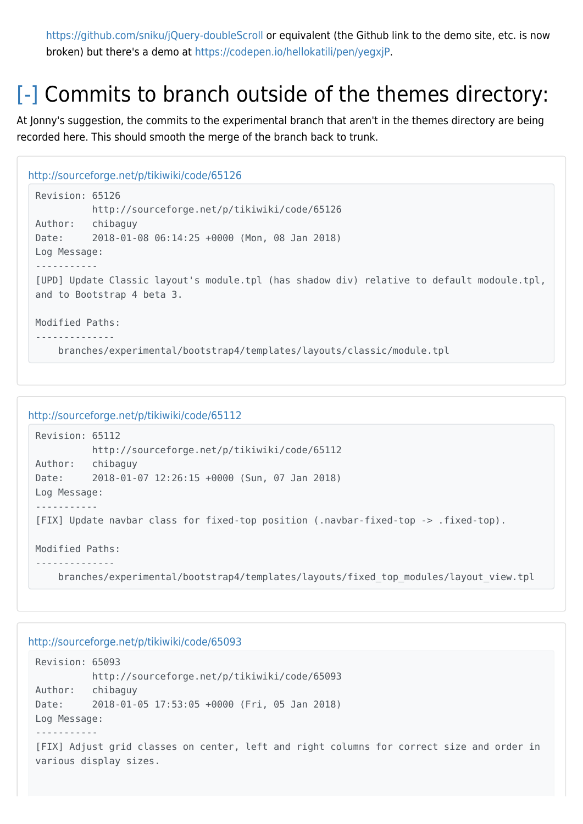<https://github.com/sniku/jQuery-doubleScroll>or equivalent (the Github link to the demo site, etc. is now broken) but there's a demo at<https://codepen.io/hellokatili/pen/yegxjP>.

## [\[-\]](#page--1-0) Commits to branch outside of the themes directory:

At Jonny's suggestion, the commits to the experimental branch that aren't in the themes directory are being recorded here. This should smooth the merge of the branch back to trunk.

```
http://sourceforge.net/p/tikiwiki/code/65126
 Revision: 65126
            http://sourceforge.net/p/tikiwiki/code/65126
 Author: chibaguy
 Date: 2018-01-08 06:14:25 +0000 (Mon, 08 Jan 2018)
 Log Message:
 -----------
 [UPD] Update Classic layout's module.tpl (has shadow div) relative to default modoule.tpl,
 and to Bootstrap 4 beta 3.
 Modified Paths:
 --------------
      branches/experimental/bootstrap4/templates/layouts/classic/module.tpl
```

```
http://sourceforge.net/p/tikiwiki/code/65112
```

```
Revision: 65112
           http://sourceforge.net/p/tikiwiki/code/65112
Author: chibaguy
Date: 2018-01-07 12:26:15 +0000 (Sun, 07 Jan 2018)
Log Message:
-----------
[FIX] Update navbar class for fixed-top position (.navbar-fixed-top -> .fixed-top).
Modified Paths:
--------------
     branches/experimental/bootstrap4/templates/layouts/fixed_top_modules/layout_view.tpl
```

```
http://sourceforge.net/p/tikiwiki/code/65093
 Revision: 65093
            http://sourceforge.net/p/tikiwiki/code/65093
 Author: chibaguy
 Date: 2018-01-05 17:53:05 +0000 (Fri, 05 Jan 2018)
 Log Message:
 -----------
 [FIX] Adjust grid classes on center, left and right columns for correct size and order in
 various display sizes.
```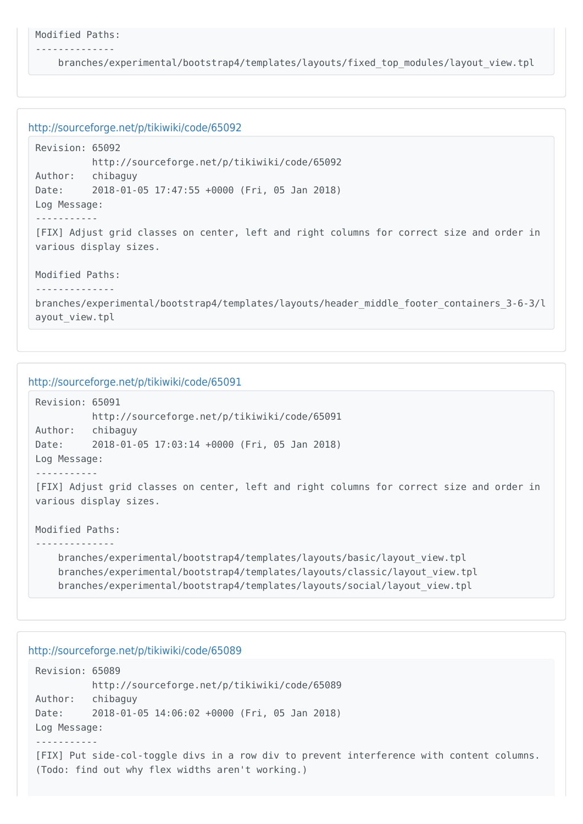```
Modified Paths:
```
--------------

branches/experimental/bootstrap4/templates/layouts/fixed\_top\_modules/layout\_view.tpl

```
http://sourceforge.net/p/tikiwiki/code/65092
```

```
Revision: 65092
           http://sourceforge.net/p/tikiwiki/code/65092
Author: chibaguy
Date: 2018-01-05 17:47:55 +0000 (Fri, 05 Jan 2018)
Log Message:
-----------
[FIX] Adjust grid classes on center, left and right columns for correct size and order in
various display sizes.
Modified Paths:
--------------
```
branches/experimental/bootstrap4/templates/layouts/header\_middle\_footer\_containers\_3-6-3/l ayout\_view.tpl

```
http://sourceforge.net/p/tikiwiki/code/65091
```

```
Revision: 65091
           http://sourceforge.net/p/tikiwiki/code/65091
Author: chibaguy
Date: 2018-01-05 17:03:14 +0000 (Fri, 05 Jan 2018)
Log Message:
-----------
[FIX] Adjust grid classes on center, left and right columns for correct size and order in
various display sizes.
Modified Paths:
--------------
     branches/experimental/bootstrap4/templates/layouts/basic/layout_view.tpl
```

```
 branches/experimental/bootstrap4/templates/layouts/classic/layout_view.tpl
 branches/experimental/bootstrap4/templates/layouts/social/layout_view.tpl
```

```
Revision: 65089
          http://sourceforge.net/p/tikiwiki/code/65089
Author: chibaguy
Date: 2018-01-05 14:06:02 +0000 (Fri, 05 Jan 2018)
Log Message:
-----------
[FIX] Put side-col-toggle divs in a row div to prevent interference with content columns.
(Todo: find out why flex widths aren't working.)
```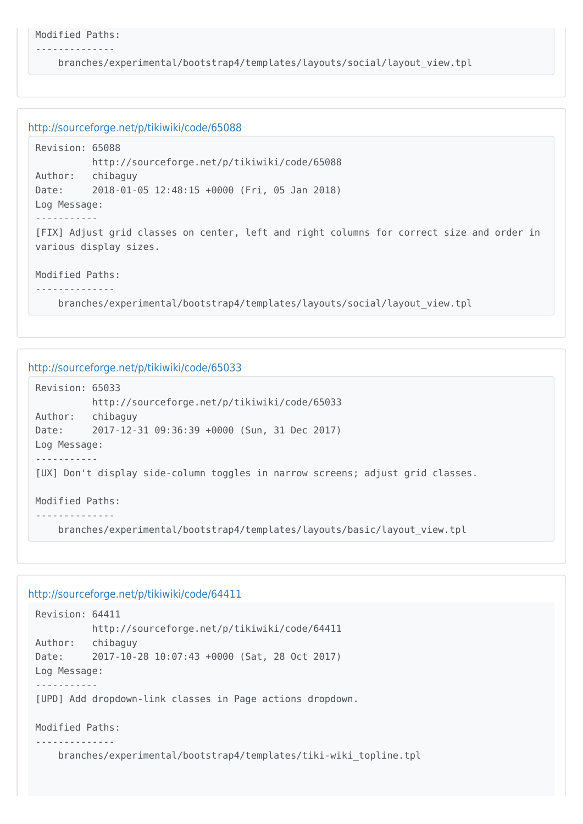```
Modified Paths:
```
--------------

branches/experimental/bootstrap4/templates/layouts/social/layout\_view.tpl

```
http://sourceforge.net/p/tikiwiki/code/65088
```

```
Revision: 65088
          http://sourceforge.net/p/tikiwiki/code/65088
Author: chibaguy
Date: 2018-01-05 12:48:15 +0000 (Fri, 05 Jan 2018)
Log Message:
-----------
[FIX] Adjust grid classes on center, left and right columns for correct size and order in
various display sizes.
Modified Paths:
```
--------------

branches/experimental/bootstrap4/templates/layouts/social/layout\_view.tpl

```
http://sourceforge.net/p/tikiwiki/code/65033
 Revision: 65033
            http://sourceforge.net/p/tikiwiki/code/65033
 Author: chibaguy
 Date: 2017-12-31 09:36:39 +0000 (Sun, 31 Dec 2017)
 Log Message:
 -----------
 [UX] Don't display side-column toggles in narrow screens; adjust grid classes.
 Modified Paths:
 --------------
      branches/experimental/bootstrap4/templates/layouts/basic/layout_view.tpl
```

```
http://sourceforge.net/p/tikiwiki/code/64411
```

```
Revision: 64411
          http://sourceforge.net/p/tikiwiki/code/64411
Author: chibaguy
Date: 2017-10-28 10:07:43 +0000 (Sat, 28 Oct 2017)
Log Message:
-----------
[UPD] Add dropdown-link classes in Page actions dropdown.
Modified Paths:
--------------
     branches/experimental/bootstrap4/templates/tiki-wiki_topline.tpl
```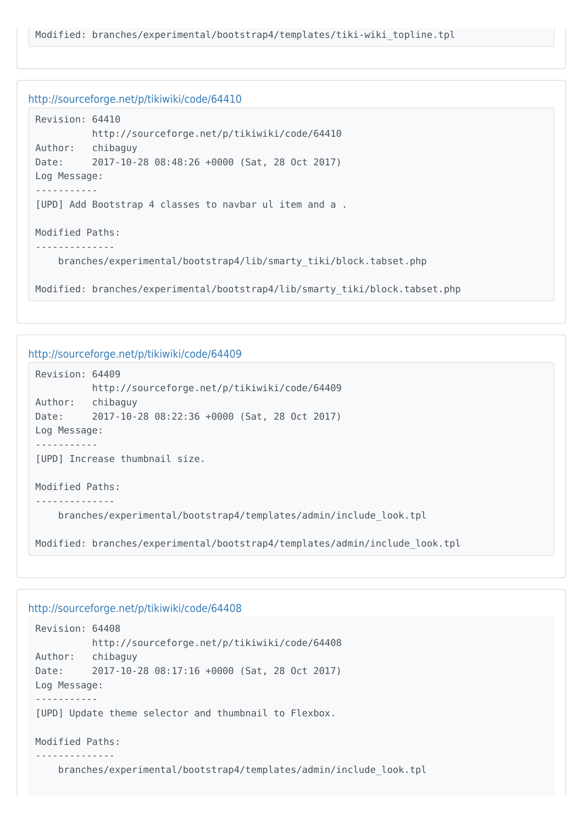```
Revision: 64410
          http://sourceforge.net/p/tikiwiki/code/64410
Author: chibaguy
Date: 2017-10-28 08:48:26 +0000 (Sat, 28 Oct 2017)
Log Message:
-----------
[UPD] Add Bootstrap 4 classes to navbar ul item and a .
Modified Paths:
 --------------
     branches/experimental/bootstrap4/lib/smarty_tiki/block.tabset.php
Modified: branches/experimental/bootstrap4/lib/smarty_tiki/block.tabset.php
```
#### <http://sourceforge.net/p/tikiwiki/code/64409>

```
Revision: 64409
           http://sourceforge.net/p/tikiwiki/code/64409
Author: chibaguy
Date: 2017-10-28 08:22:36 +0000 (Sat, 28 Oct 2017)
Log Message:
-----------
[UPD] Increase thumbnail size.
Modified Paths:
--------------
     branches/experimental/bootstrap4/templates/admin/include_look.tpl
```
Modified: branches/experimental/bootstrap4/templates/admin/include\_look.tpl

```
Revision: 64408
           http://sourceforge.net/p/tikiwiki/code/64408
Author: chibaguy
Date: 2017-10-28 08:17:16 +0000 (Sat, 28 Oct 2017)
Log Message:
-----------
[UPD] Update theme selector and thumbnail to Flexbox.
Modified Paths:
--------------
     branches/experimental/bootstrap4/templates/admin/include_look.tpl
```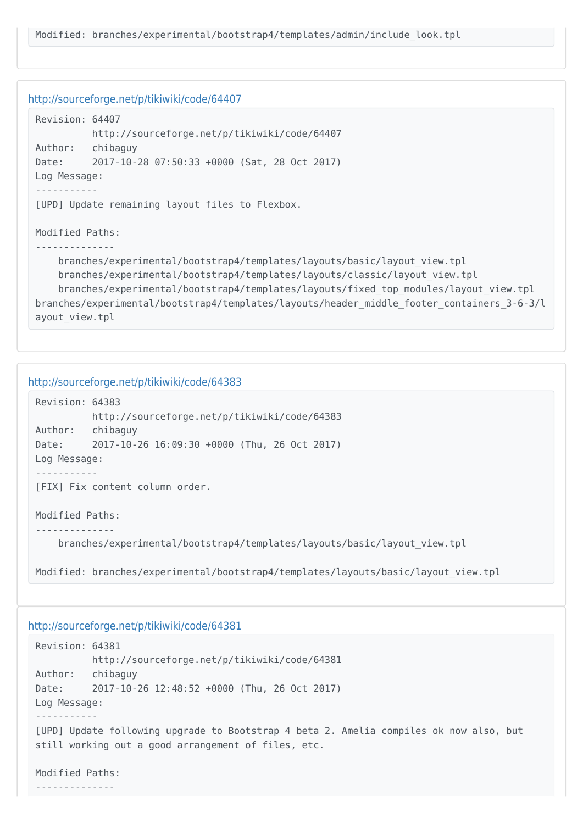```
Revision: 64407
           http://sourceforge.net/p/tikiwiki/code/64407
Author: chibaguy
Date: 2017-10-28 07:50:33 +0000 (Sat, 28 Oct 2017)
Log Message:
-----------
[UPD] Update remaining layout files to Flexbox.
Modified Paths:
 --------------
     branches/experimental/bootstrap4/templates/layouts/basic/layout_view.tpl
     branches/experimental/bootstrap4/templates/layouts/classic/layout_view.tpl
     branches/experimental/bootstrap4/templates/layouts/fixed_top_modules/layout_view.tpl
branches/experimental/bootstrap4/templates/layouts/header_middle_footer_containers_3-6-3/l
ayout_view.tpl
```
#### <http://sourceforge.net/p/tikiwiki/code/64383>

```
Revision: 64383
           http://sourceforge.net/p/tikiwiki/code/64383
Author: chibaguy
Date: 2017-10-26 16:09:30 +0000 (Thu, 26 Oct 2017)
Log Message:
-----------
[FIX] Fix content column order.
Modified Paths:
```
--------------

branches/experimental/bootstrap4/templates/layouts/basic/layout\_view.tpl

Modified: branches/experimental/bootstrap4/templates/layouts/basic/layout\_view.tpl

#### <http://sourceforge.net/p/tikiwiki/code/64381>

```
Revision: 64381
          http://sourceforge.net/p/tikiwiki/code/64381
Author: chibaguy
Date: 2017-10-26 12:48:52 +0000 (Thu, 26 Oct 2017)
Log Message:
-----------
[UPD] Update following upgrade to Bootstrap 4 beta 2. Amelia compiles ok now also, but
still working out a good arrangement of files, etc.
```
Modified Paths:

--------------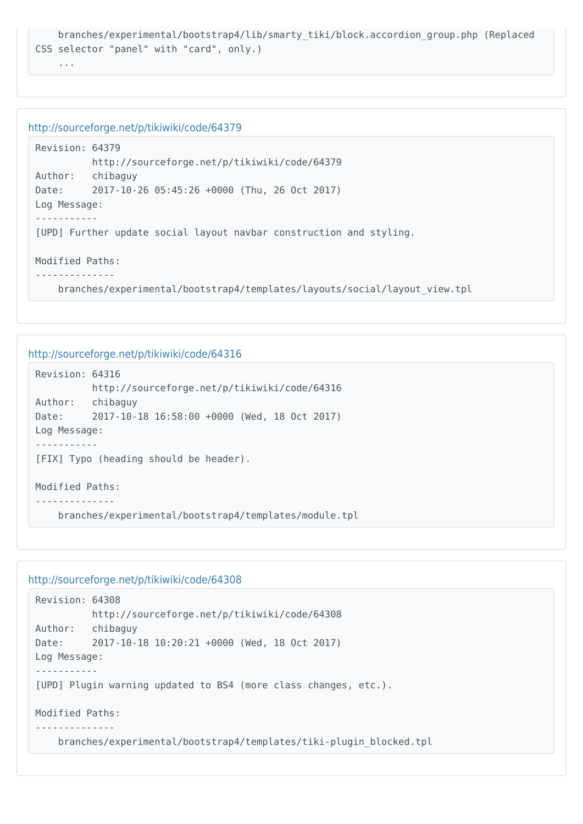```
 branches/experimental/bootstrap4/lib/smarty_tiki/block.accordion_group.php (Replaced
CSS selector "panel" with "card", only.)
```
...

#### <http://sourceforge.net/p/tikiwiki/code/64379>

```
Revision: 64379
           http://sourceforge.net/p/tikiwiki/code/64379
Author: chibaguy
Date: 2017-10-26 05:45:26 +0000 (Thu, 26 Oct 2017)
Log Message:
-----------
[UPD] Further update social layout navbar construction and styling.
Modified Paths:
--------------
```
branches/experimental/bootstrap4/templates/layouts/social/layout\_view.tpl

#### <http://sourceforge.net/p/tikiwiki/code/64316>

```
Revision: 64316
           http://sourceforge.net/p/tikiwiki/code/64316
Author: chibaguy
Date: 2017-10-18 16:58:00 +0000 (Wed, 18 Oct 2017)
Log Message:
-----------
[FIX] Typo (heading should be header).
Modified Paths:
--------------
     branches/experimental/bootstrap4/templates/module.tpl
```

```
Revision: 64308
           http://sourceforge.net/p/tikiwiki/code/64308
Author: chibaguy
Date: 2017-10-18 10:20:21 +0000 (Wed, 18 Oct 2017)
Log Message:
-----------
[UPD] Plugin warning updated to BS4 (more class changes, etc.).
Modified Paths:
     branches/experimental/bootstrap4/templates/tiki-plugin_blocked.tpl
```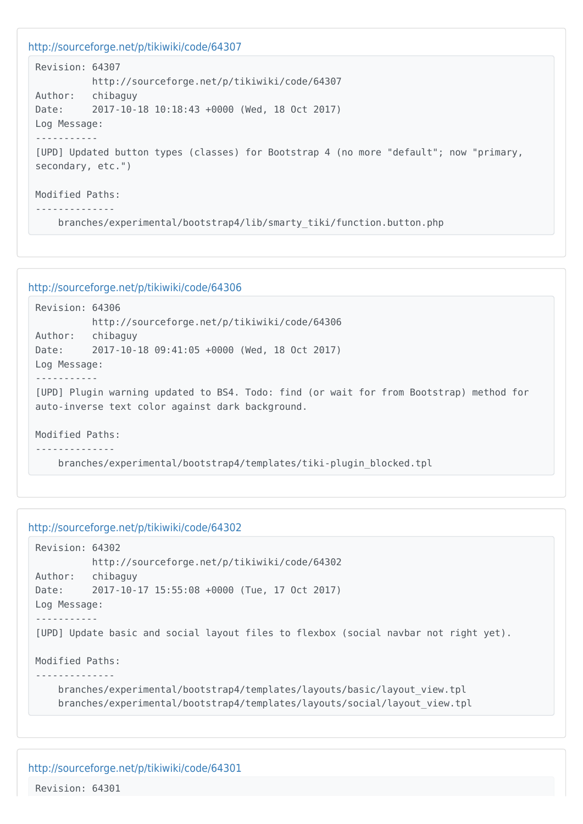```
http://sourceforge.net/p/tikiwiki/code/64307
 Revision: 64307
            http://sourceforge.net/p/tikiwiki/code/64307
 Author: chibaguy
 Date: 2017-10-18 10:18:43 +0000 (Wed, 18 Oct 2017)
 Log Message:
 -----------
 [UPD] Updated button types (classes) for Bootstrap 4 (no more "default"; now "primary,
 secondary, etc.")
 Modified Paths:
 --------------
      branches/experimental/bootstrap4/lib/smarty_tiki/function.button.php
```

```
http://sourceforge.net/p/tikiwiki/code/64306
```

```
Revision: 64306
           http://sourceforge.net/p/tikiwiki/code/64306
Author: chibaguy
Date: 2017-10-18 09:41:05 +0000 (Wed, 18 Oct 2017)
Log Message:
-----------
[UPD] Plugin warning updated to BS4. Todo: find (or wait for from Bootstrap) method for
auto-inverse text color against dark background.
Modified Paths:
--------------
```

```
 branches/experimental/bootstrap4/templates/tiki-plugin_blocked.tpl
```

```
http://sourceforge.net/p/tikiwiki/code/64302
```

```
Revision: 64302
           http://sourceforge.net/p/tikiwiki/code/64302
Author: chibaguy
Date: 2017-10-17 15:55:08 +0000 (Tue, 17 Oct 2017)
Log Message:
-----------
[UPD] Update basic and social layout files to flexbox (social navbar not right yet).
Modified Paths:
--------------
    branches/experimental/bootstrap4/templates/layouts/basic/layout_view.tpl
     branches/experimental/bootstrap4/templates/layouts/social/layout_view.tpl
```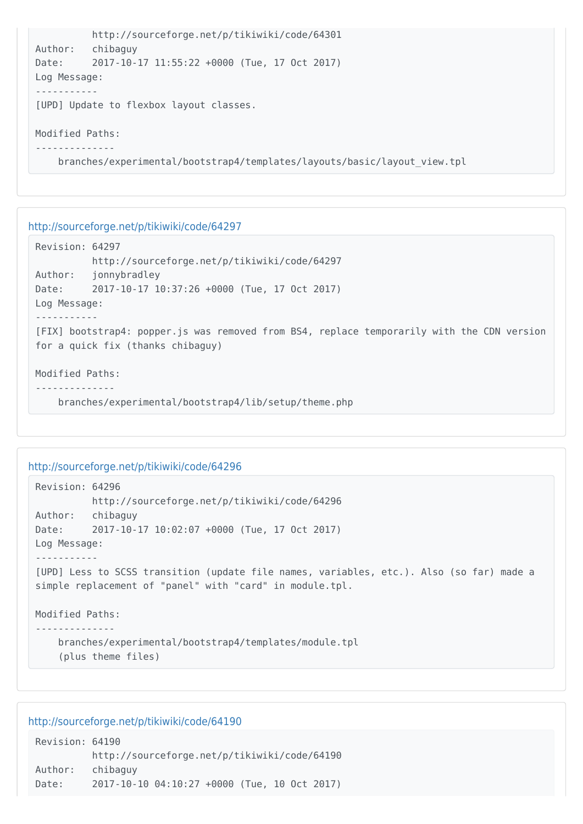```
 http://sourceforge.net/p/tikiwiki/code/64301
Author: chibaguy
Date: 2017-10-17 11:55:22 +0000 (Tue, 17 Oct 2017)
Log Message:
-----------
[UPD] Update to flexbox layout classes.
Modified Paths:
--------------
    branches/experimental/bootstrap4/templates/layouts/basic/layout_view.tpl
```

```
Revision: 64297
          http://sourceforge.net/p/tikiwiki/code/64297
Author: jonnybradley
Date: 2017-10-17 10:37:26 +0000 (Tue, 17 Oct 2017)
Log Message:
-----------
[FIX] bootstrap4: popper.js was removed from BS4, replace temporarily with the CDN version
for a quick fix (thanks chibaguy)
Modified Paths:
--------------
```
branches/experimental/bootstrap4/lib/setup/theme.php

#### <http://sourceforge.net/p/tikiwiki/code/64296>

```
Revision: 64296
           http://sourceforge.net/p/tikiwiki/code/64296
Author: chibaguy
Date: 2017-10-17 10:02:07 +0000 (Tue, 17 Oct 2017)
Log Message:
-----------
[UPD] Less to SCSS transition (update file names, variables, etc.). Also (so far) made a
simple replacement of "panel" with "card" in module.tpl.
Modified Paths:
--------------
     branches/experimental/bootstrap4/templates/module.tpl
```

```
 (plus theme files)
```

```
Revision: 64190
          http://sourceforge.net/p/tikiwiki/code/64190
Author: chibaguy
Date: 2017-10-10 04:10:27 +0000 (Tue, 10 Oct 2017)
```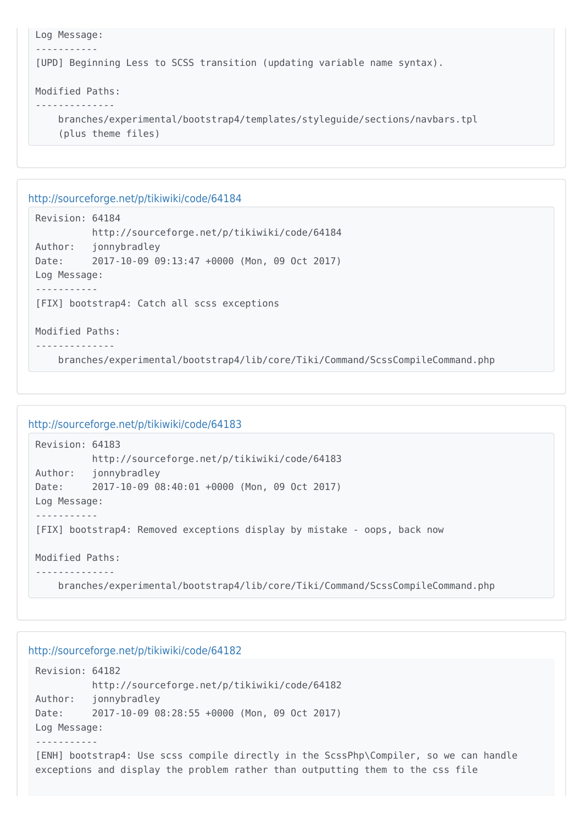```
Log Message:
 -----------
[UPD] Beginning Less to SCSS transition (updating variable name syntax).
Modified Paths:
--------------
     branches/experimental/bootstrap4/templates/styleguide/sections/navbars.tpl
     (plus theme files)
```
Revision: 64184 http://sourceforge.net/p/tikiwiki/code/64184 Author: jonnybradley Date: 2017-10-09 09:13:47 +0000 (Mon, 09 Oct 2017) Log Message: ----------- [FIX] bootstrap4: Catch all scss exceptions Modified Paths:

```
--------------
```
branches/experimental/bootstrap4/lib/core/Tiki/Command/ScssCompileCommand.php

#### <http://sourceforge.net/p/tikiwiki/code/64183>

```
Revision: 64183
          http://sourceforge.net/p/tikiwiki/code/64183
Author: jonnybradley
Date: 2017-10-09 08:40:01 +0000 (Mon, 09 Oct 2017)
Log Message:
-----------
[FIX] bootstrap4: Removed exceptions display by mistake - oops, back now
Modified Paths:
--------------
     branches/experimental/bootstrap4/lib/core/Tiki/Command/ScssCompileCommand.php
```

```
Revision: 64182
          http://sourceforge.net/p/tikiwiki/code/64182
Author: jonnybradley
Date: 2017-10-09 08:28:55 +0000 (Mon, 09 Oct 2017)
Log Message:
-----------
[ENH] bootstrap4: Use scss compile directly in the ScssPhp\Compiler, so we can handle
exceptions and display the problem rather than outputting them to the css file
```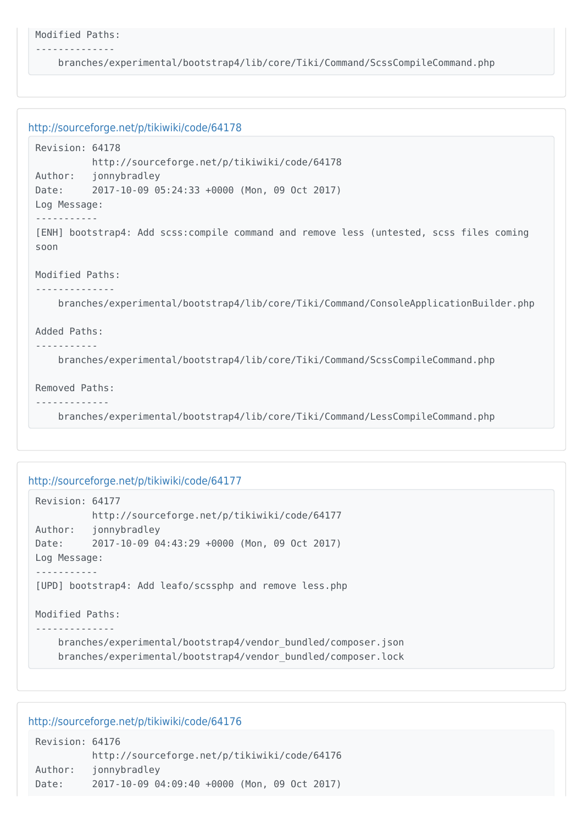```
Modified Paths:
```
--------------

branches/experimental/bootstrap4/lib/core/Tiki/Command/ScssCompileCommand.php

```
http://sourceforge.net/p/tikiwiki/code/64178
 Revision: 64178
            http://sourceforge.net/p/tikiwiki/code/64178
 Author: jonnybradley
 Date: 2017-10-09 05:24:33 +0000 (Mon, 09 Oct 2017)
 Log Message:
 -----------
 [ENH] bootstrap4: Add scss:compile command and remove less (untested, scss files coming
 soon
 Modified Paths:
 --------------
      branches/experimental/bootstrap4/lib/core/Tiki/Command/ConsoleApplicationBuilder.php
 Added Paths:
 -----------
      branches/experimental/bootstrap4/lib/core/Tiki/Command/ScssCompileCommand.php
 Removed Paths:
 -------------
      branches/experimental/bootstrap4/lib/core/Tiki/Command/LessCompileCommand.php
```
#### <http://sourceforge.net/p/tikiwiki/code/64177>

```
Revision: 64177
           http://sourceforge.net/p/tikiwiki/code/64177
Author: jonnybradley
Date: 2017-10-09 04:43:29 +0000 (Mon, 09 Oct 2017)
Log Message:
-----------
[UPD] bootstrap4: Add leafo/scssphp and remove less.php
Modified Paths:
     branches/experimental/bootstrap4/vendor_bundled/composer.json
     branches/experimental/bootstrap4/vendor_bundled/composer.lock
```

| Revision: 64176 |                                              |
|-----------------|----------------------------------------------|
|                 | http://sourceforge.net/p/tikiwiki/code/64176 |
| Author:         | jonnybradley                                 |
| Date:           | 2017-10-09 04:09:40 +0000 (Mon, 09 Oct 2017) |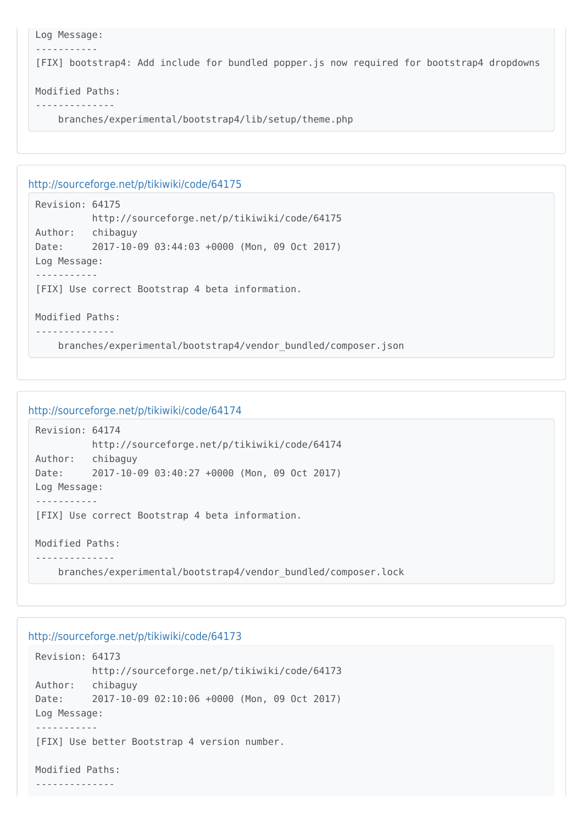```
Log Message:
 -----------
[FIX] bootstrap4: Add include for bundled popper.js now required for bootstrap4 dropdowns
Modified Paths:
```

```
--------------
```
branches/experimental/bootstrap4/lib/setup/theme.php

```
http://sourceforge.net/p/tikiwiki/code/64175
```

```
Revision: 64175
          http://sourceforge.net/p/tikiwiki/code/64175
Author: chibaguy
Date: 2017-10-09 03:44:03 +0000 (Mon, 09 Oct 2017)
Log Message:
-----------
[FIX] Use correct Bootstrap 4 beta information.
Modified Paths:
--------------
```
branches/experimental/bootstrap4/vendor\_bundled/composer.json

```
http://sourceforge.net/p/tikiwiki/code/64174
```

```
Revision: 64174
           http://sourceforge.net/p/tikiwiki/code/64174
Author: chibaguy
Date: 2017-10-09 03:40:27 +0000 (Mon, 09 Oct 2017)
Log Message:
-----------
[FIX] Use correct Bootstrap 4 beta information.
Modified Paths:
--------------
     branches/experimental/bootstrap4/vendor_bundled/composer.lock
```

```
Revision: 64173
          http://sourceforge.net/p/tikiwiki/code/64173
Author: chibaguy
Date: 2017-10-09 02:10:06 +0000 (Mon, 09 Oct 2017)
Log Message:
-----------
[FIX] Use better Bootstrap 4 version number.
```

```
Modified Paths:
--------------
```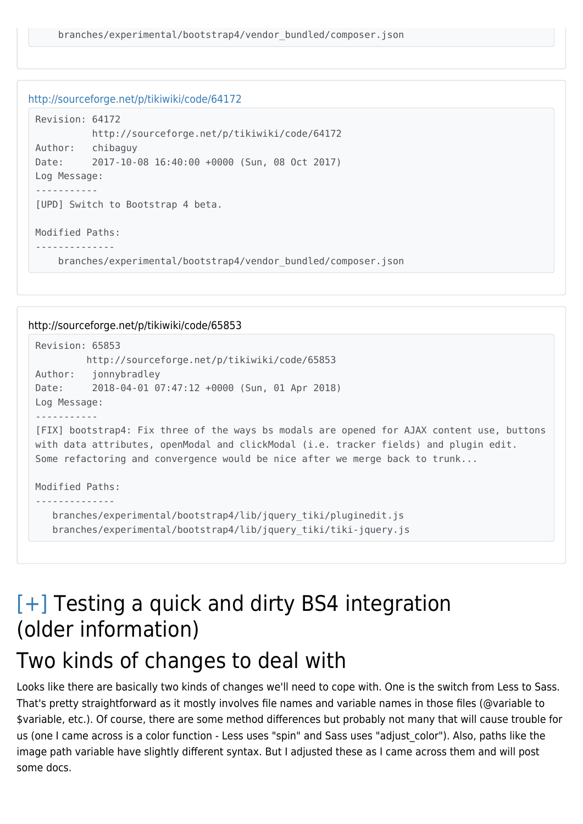```
http://sourceforge.net/p/tikiwiki/code/64172
```

```
Revision: 64172
           http://sourceforge.net/p/tikiwiki/code/64172
Author: chibaguy
Date: 2017-10-08 16:40:00 +0000 (Sun, 08 Oct 2017)
Log Message:
-----------
[UPD] Switch to Bootstrap 4 beta.
Modified Paths:
   --------------
     branches/experimental/bootstrap4/vendor_bundled/composer.json
```

```
http://sourceforge.net/p/tikiwiki/code/65853
 Revision: 65853
          http://sourceforge.net/p/tikiwiki/code/65853
 Author: jonnybradley
 Date: 2018-04-01 07:47:12 +0000 (Sun, 01 Apr 2018)
 Log Message:
 -----------
 [FIX] bootstrap4: Fix three of the ways bs modals are opened for AJAX content use, buttons
 with data attributes, openModal and clickModal (i.e. tracker fields) and plugin edit.
 Some refactoring and convergence would be nice after we merge back to trunk...
 Modified Paths:
 --------------
     branches/experimental/bootstrap4/lib/jquery_tiki/pluginedit.js
     branches/experimental/bootstrap4/lib/jquery_tiki/tiki-jquery.js
```
## [\[+\]](#page--1-0) Testing a quick and dirty BS4 integration (older information)

## Two kinds of changes to deal with

Looks like there are basically two kinds of changes we'll need to cope with. One is the switch from Less to Sass. That's pretty straightforward as it mostly involves file names and variable names in those files (@variable to \$variable, etc.). Of course, there are some method differences but probably not many that will cause trouble for us (one I came across is a color function - Less uses "spin" and Sass uses "adjust color"). Also, paths like the image path variable have slightly different syntax. But I adjusted these as I came across them and will post some docs.